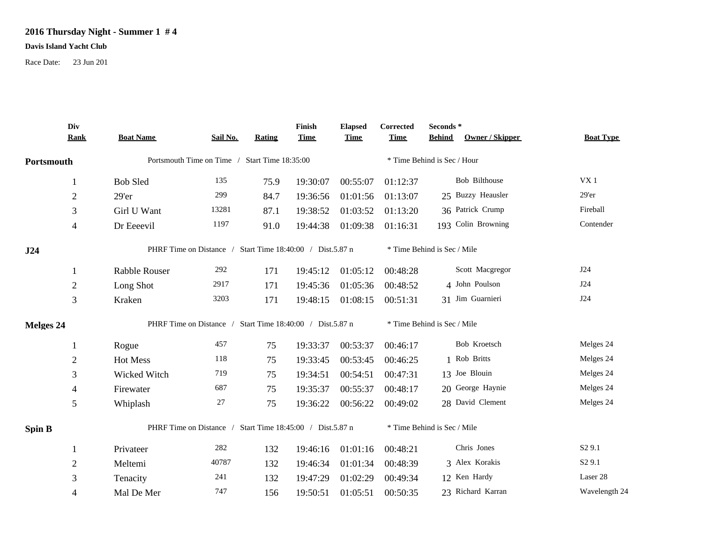## **2016 Thursday Night - Summer 1 # 4**

## **Davis Island Yacht Club**

Race Date: 23 Jun 201

|                  | Div<br><b>Rank</b>                                        | <b>Boat Name</b>                                          | Sail No. | Rating                      | Finish<br><b>Time</b> | <b>Elapsed</b><br><b>Time</b> | Corrected<br><b>Time</b>    | Seconds*<br>Owner / Skipper<br><b>Behind</b> | <b>Boat Type</b>   |  |
|------------------|-----------------------------------------------------------|-----------------------------------------------------------|----------|-----------------------------|-----------------------|-------------------------------|-----------------------------|----------------------------------------------|--------------------|--|
| Portsmouth       |                                                           | Portsmouth Time on Time / Start Time 18:35:00             |          |                             |                       |                               | * Time Behind is Sec / Hour |                                              |                    |  |
|                  | 1                                                         | <b>Bob Sled</b>                                           | 135      | 75.9                        | 19:30:07              | 00:55:07                      | 01:12:37                    | Bob Bilthouse                                | VX1                |  |
|                  | $\sqrt{2}$                                                | 29'er                                                     | 299      | 84.7                        | 19:36:56              | 01:01:56                      | 01:13:07                    | 25 Buzzy Heausler                            | 29'er              |  |
|                  | 3                                                         | Girl U Want                                               | 13281    | 87.1                        | 19:38:52              | 01:03:52                      | 01:13:20                    | 36 Patrick Crump                             | Fireball           |  |
|                  | $\overline{4}$                                            | Dr Eeeevil                                                | 1197     | 91.0                        | 19:44:38              | 01:09:38                      | 01:16:31                    | 193 Colin Browning                           | Contender          |  |
| J24              | PHRF Time on Distance / Start Time 18:40:00 / Dist.5.87 n |                                                           |          | * Time Behind is Sec / Mile |                       |                               |                             |                                              |                    |  |
|                  | 1                                                         | Rabble Rouser                                             | 292      | 171                         | 19:45:12              | 01:05:12                      | 00:48:28                    | Scott Macgregor                              | J24                |  |
|                  | $\sqrt{2}$                                                | Long Shot                                                 | 2917     | 171                         | 19:45:36              | 01:05:36                      | 00:48:52                    | 4 John Poulson                               | J24                |  |
|                  | $\mathfrak{Z}$                                            | Kraken                                                    | 3203     | 171                         | 19:48:15              | 01:08:15                      | 00:51:31                    | 31 Jim Guarnieri                             | J24                |  |
| <b>Melges 24</b> |                                                           | PHRF Time on Distance / Start Time 18:40:00 / Dist.5.87 n |          |                             |                       |                               | * Time Behind is Sec / Mile |                                              |                    |  |
|                  | 1                                                         | Rogue                                                     | 457      | 75                          | 19:33:37              | 00:53:37                      | 00:46:17                    | Bob Kroetsch                                 | Melges 24          |  |
|                  | $\sqrt{2}$                                                | Hot Mess                                                  | 118      | 75                          | 19:33:45              | 00:53:45                      | 00:46:25                    | 1 Rob Britts                                 | Melges 24          |  |
|                  | 3                                                         | Wicked Witch                                              | 719      | 75                          | 19:34:51              | 00:54:51                      | 00:47:31                    | 13 Joe Blouin                                | Melges 24          |  |
|                  | 4                                                         | Firewater                                                 | 687      | 75                          | 19:35:37              | 00:55:37                      | 00:48:17                    | 20 George Haynie                             | Melges 24          |  |
|                  | 5                                                         | Whiplash                                                  | 27       | 75                          | 19:36:22              | 00:56:22                      | 00:49:02                    | 28 David Clement                             | Melges 24          |  |
| Spin B           |                                                           | PHRF Time on Distance / Start Time 18:45:00 / Dist.5.87 n |          |                             |                       | * Time Behind is Sec / Mile   |                             |                                              |                    |  |
|                  | 1                                                         | Privateer                                                 | 282      | 132                         | 19:46:16              | 01:01:16                      | 00:48:21                    | Chris Jones                                  | S <sub>2</sub> 9.1 |  |
|                  | $\mathfrak{2}$                                            | Meltemi                                                   | 40787    | 132                         | 19:46:34              | 01:01:34                      | 00:48:39                    | 3 Alex Korakis                               | S <sub>2</sub> 9.1 |  |
|                  | 3                                                         | Tenacity                                                  | 241      | 132                         | 19:47:29              | 01:02:29                      | 00:49:34                    | 12 Ken Hardy                                 | Laser 28           |  |
|                  | 4                                                         | Mal De Mer                                                | 747      | 156                         | 19:50:51              | 01:05:51                      | 00:50:35                    | 23 Richard Karran                            | Wavelength 24      |  |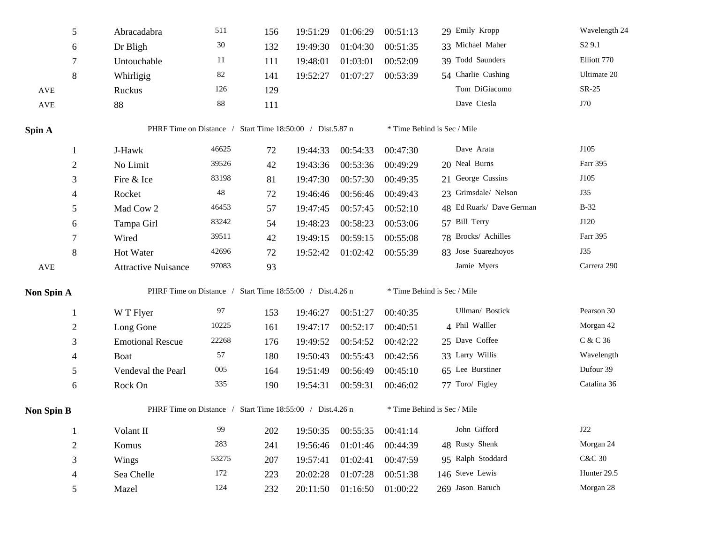|                   | 5              | Abracadabra                                               | 511    | 156 | 19:51:29 | 01:06:29 | 00:51:13 | 29 Emily Kropp              | Wavelength 24      |
|-------------------|----------------|-----------------------------------------------------------|--------|-----|----------|----------|----------|-----------------------------|--------------------|
|                   | 6              | Dr Bligh                                                  | 30     | 132 | 19:49:30 | 01:04:30 | 00:51:35 | 33 Michael Maher            | S <sub>2</sub> 9.1 |
|                   | 7              | Untouchable                                               | 11     | 111 | 19:48:01 | 01:03:01 | 00:52:09 | 39 Todd Saunders            | Elliott 770        |
|                   | 8              | Whirligig                                                 | 82     | 141 | 19:52:27 | 01:07:27 | 00:53:39 | 54 Charlie Cushing          | Ultimate 20        |
| AVE               |                | Ruckus                                                    | 126    | 129 |          |          |          | Tom DiGiacomo               | $SR-25$            |
| <b>AVE</b>        |                | 88                                                        | $88\,$ | 111 |          |          |          | Dave Ciesla                 | J70                |
| Spin A            |                | PHRF Time on Distance / Start Time 18:50:00 / Dist.5.87 n |        |     |          |          |          | * Time Behind is Sec / Mile |                    |
|                   | 1              | J-Hawk                                                    | 46625  | 72  | 19:44:33 | 00:54:33 | 00:47:30 | Dave Arata                  | J105               |
|                   | $\overline{2}$ | No Limit                                                  | 39526  | 42  | 19:43:36 | 00:53:36 | 00:49:29 | 20 Neal Burns               | Farr 395           |
|                   | 3              | Fire & Ice                                                | 83198  | 81  | 19:47:30 | 00:57:30 | 00:49:35 | 21 George Cussins           | J105               |
|                   | 4              | Rocket                                                    | 48     | 72  | 19:46:46 | 00:56:46 | 00:49:43 | 23 Grimsdale/ Nelson        | J35                |
|                   | 5              | Mad Cow 2                                                 | 46453  | 57  | 19:47:45 | 00:57:45 | 00:52:10 | 48 Ed Ruark/ Dave German    | $B-32$             |
|                   | 6              | Tampa Girl                                                | 83242  | 54  | 19:48:23 | 00:58:23 | 00:53:06 | 57 Bill Terry               | J120               |
|                   | 7              | Wired                                                     | 39511  | 42  | 19:49:15 | 00:59:15 | 00:55:08 | 78 Brocks/ Achilles         | Farr 395           |
|                   | 8              | Hot Water                                                 | 42696  | 72  | 19:52:42 | 01:02:42 | 00:55:39 | 83 Jose Suarezhoyos         | <b>J35</b>         |
| AVE               |                | <b>Attractive Nuisance</b>                                | 97083  | 93  |          |          |          | Jamie Myers                 | Carrera 290        |
| Non Spin A        |                | PHRF Time on Distance / Start Time 18:55:00 / Dist.4.26 n |        |     |          |          |          | * Time Behind is Sec / Mile |                    |
|                   | $\mathbf{1}$   | W T Flyer                                                 | 97     | 153 | 19:46:27 | 00:51:27 | 00:40:35 | Ullman/ Bostick             | Pearson 30         |
|                   | $\overline{c}$ | Long Gone                                                 | 10225  | 161 | 19:47:17 | 00:52:17 | 00:40:51 | 4 Phil Walller              | Morgan 42          |
|                   | 3              | <b>Emotional Rescue</b>                                   | 22268  | 176 | 19:49:52 | 00:54:52 | 00:42:22 | 25 Dave Coffee              | C & C 36           |
|                   | 4              | Boat                                                      | 57     | 180 | 19:50:43 | 00:55:43 | 00:42:56 | 33 Larry Willis             | Wavelength         |
|                   | $\mathfrak s$  | Vendeval the Pearl                                        | 005    | 164 | 19:51:49 | 00:56:49 | 00:45:10 | 65 Lee Burstiner            | Dufour 39          |
|                   | 6              | Rock On                                                   | 335    | 190 | 19:54:31 | 00:59:31 | 00:46:02 | 77 Toro/ Figley             | Catalina 36        |
| <b>Non Spin B</b> |                | PHRF Time on Distance / Start Time 18:55:00 / Dist.4.26 n |        |     |          |          |          | * Time Behind is Sec / Mile |                    |
|                   | $\mathbf{1}$   | Volant II                                                 | 99     | 202 | 19:50:35 | 00:55:35 | 00:41:14 | John Gifford                | $\rm J22$          |
|                   | $\sqrt{2}$     | Komus                                                     | 283    | 241 | 19:56:46 | 01:01:46 | 00:44:39 | 48 Rusty Shenk              | Morgan 24          |
|                   | 3              | Wings                                                     | 53275  | 207 | 19:57:41 | 01:02:41 | 00:47:59 | 95 Ralph Stoddard           | <b>C&amp;C 30</b>  |
|                   | 4              | Sea Chelle                                                | 172    | 223 | 20:02:28 | 01:07:28 | 00:51:38 | 146 Steve Lewis             | Hunter 29.5        |
|                   | 5              | Mazel                                                     | 124    | 232 | 20:11:50 | 01:16:50 | 01:00:22 | 269 Jason Baruch            | Morgan 28          |